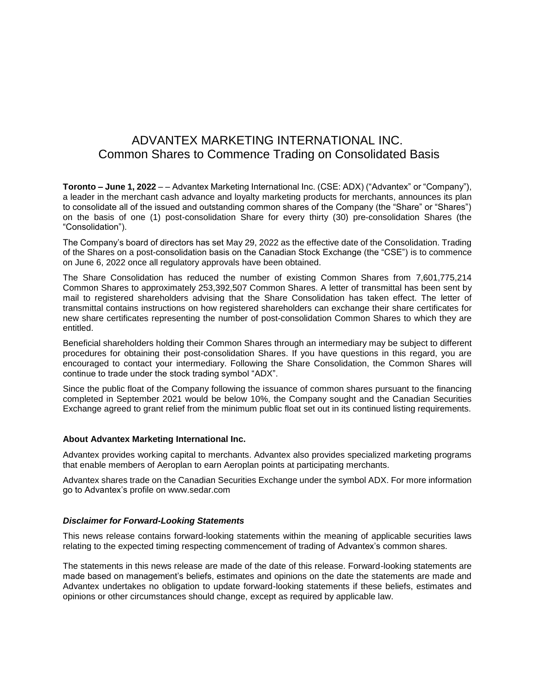## ADVANTEX MARKETING INTERNATIONAL INC. Common Shares to Commence Trading on Consolidated Basis

**Toronto – June 1, 2022** – – Advantex Marketing International Inc. (CSE: ADX) ("Advantex" or "Company"), a leader in the merchant cash advance and loyalty marketing products for merchants, announces its plan to consolidate all of the issued and outstanding common shares of the Company (the "Share" or "Shares") on the basis of one (1) post-consolidation Share for every thirty (30) pre-consolidation Shares (the "Consolidation").

The Company's board of directors has set May 29, 2022 as the effective date of the Consolidation. Trading of the Shares on a post-consolidation basis on the Canadian Stock Exchange (the "CSE") is to commence on June 6, 2022 once all regulatory approvals have been obtained.

The Share Consolidation has reduced the number of existing Common Shares from 7,601,775,214 Common Shares to approximately 253,392,507 Common Shares. A letter of transmittal has been sent by mail to registered shareholders advising that the Share Consolidation has taken effect. The letter of transmittal contains instructions on how registered shareholders can exchange their share certificates for new share certificates representing the number of post-consolidation Common Shares to which they are entitled.

Beneficial shareholders holding their Common Shares through an intermediary may be subject to different procedures for obtaining their post-consolidation Shares. If you have questions in this regard, you are encouraged to contact your intermediary. Following the Share Consolidation, the Common Shares will continue to trade under the stock trading symbol "ADX".

Since the public float of the Company following the issuance of common shares pursuant to the financing completed in September 2021 would be below 10%, the Company sought and the Canadian Securities Exchange agreed to grant relief from the minimum public float set out in its continued listing requirements.

## **About Advantex Marketing International Inc.**

Advantex provides working capital to merchants. Advantex also provides specialized marketing programs that enable members of Aeroplan to earn Aeroplan points at participating merchants.

Advantex shares trade on the Canadian Securities Exchange under the symbol ADX. For more information go to Advantex's profile on www.sedar.com

## *Disclaimer for Forward-Looking Statements*

This news release contains forward-looking statements within the meaning of applicable securities laws relating to the expected timing respecting commencement of trading of Advantex's common shares.

The statements in this news release are made of the date of this release. Forward-looking statements are made based on management's beliefs, estimates and opinions on the date the statements are made and Advantex undertakes no obligation to update forward-looking statements if these beliefs, estimates and opinions or other circumstances should change, except as required by applicable law.